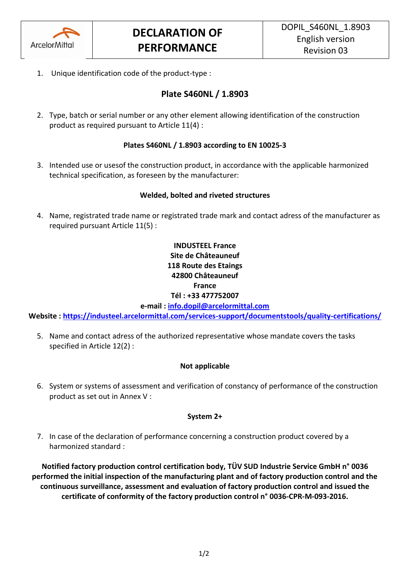

1. Unique identification code of the product-type :

# **Plate S460NL / 1.8903**

2. Type, batch or serial number or any other element allowing identification of the construction product as required pursuant to Article 11(4) :

# **Plates S460NL / 1.8903 according to EN 10025-3**

3. Intended use or usesof the construction product, in accordance with the applicable harmonized technical specification, as foreseen by the manufacturer:

# **Welded, bolted and riveted structures**

4. Name, registrated trade name or registrated trade mark and contact adress of the manufacturer as required pursuant Article 11(5) :

# **INDUSTEEL France Site de Châteauneuf 118 Route des Etaings 42800 Châteauneuf France Tél : +33 477752007**

**e-mail : [info.dopil@arcelormittal.com](mailto:info.dopil@arcelormittal.com)**

**Website :<https://industeel.arcelormittal.com/services-support/documentstools/quality-certifications/>**

5. Name and contact adress of the authorized representative whose mandate covers the tasks specified in Article 12(2) :

#### **Not applicable**

6. System or systems of assessment and verification of constancy of performance of the construction product as set out in Annex V :

#### **System 2+**

7. In case of the declaration of performance concerning a construction product covered by a harmonized standard :

**Notified factory production control certification body, TÜV SUD Industrie Service GmbH n° 0036 performed the initial inspection of the manufacturing plant and of factory production control and the continuous surveillance, assessment and evaluation of factory production control and issued the certificate of conformity of the factory production control n° 0036-CPR-M-093-2016.**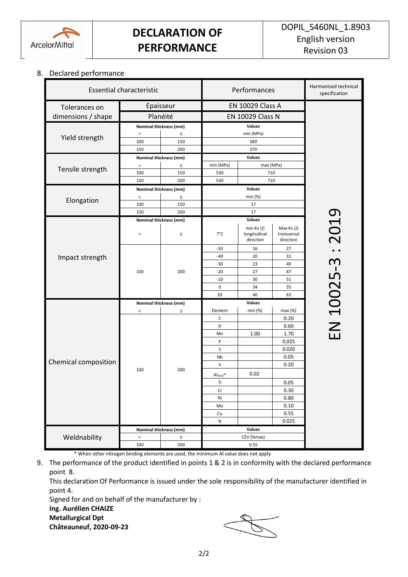

#### 8. Declared performance

| <b>Essential characteristic</b> |                                  |                        | Performances                     |                                             |                                        | Harmonised technical<br>specification |  |
|---------------------------------|----------------------------------|------------------------|----------------------------------|---------------------------------------------|----------------------------------------|---------------------------------------|--|
| Tolerances on                   | Epaisseur                        |                        | <b>EN 10029 Class A</b>          |                                             |                                        |                                       |  |
| dimensions / shape              | Planéité                         |                        | EN 10029 Class N                 |                                             |                                        |                                       |  |
| Yield strength                  | Nominal thickness (mm)           |                        | Values                           |                                             |                                        |                                       |  |
|                                 | $\, >$<br>$\leq$                 |                        | min (MPa)                        |                                             |                                        |                                       |  |
|                                 | 100                              | 150                    | 380                              |                                             |                                        |                                       |  |
|                                 | 150                              | 200                    | 370                              |                                             |                                        |                                       |  |
| Tensile strength<br>Elongation  | Nominal thickness (mm)           |                        | Values                           |                                             |                                        |                                       |  |
|                                 | $\, >$                           | $\leq$                 | min (MPa)                        | max (MPa)                                   |                                        |                                       |  |
|                                 | 100                              | 150                    | 530                              |                                             | 710                                    |                                       |  |
|                                 | 150                              | 200                    | 530<br>710<br>Values             |                                             |                                        |                                       |  |
|                                 | Nominal thickness (mm)<br>$\, >$ | $\leq$                 | min (%)                          |                                             |                                        |                                       |  |
|                                 | 100                              | 150                    | 17                               |                                             |                                        |                                       |  |
|                                 | 150                              | 200                    | 17                               |                                             |                                        |                                       |  |
|                                 |                                  | Nominal thickness (mm) |                                  | Values                                      |                                        |                                       |  |
| Impact strength                 | $\,$                             | $\leq$                 | Т°С                              | $min$ Kv $(J)$<br>longitudinal<br>direction | Max Kv (J)<br>transversal<br>direction | 2019                                  |  |
|                                 | 100                              | 200                    | $-50$                            | 16                                          | 27                                     | ന                                     |  |
|                                 |                                  |                        | $-40$                            | 20                                          | 31                                     |                                       |  |
|                                 |                                  |                        | $-30$                            | 23                                          | 40                                     |                                       |  |
|                                 |                                  |                        | $-20$                            | 27                                          | 47                                     |                                       |  |
|                                 |                                  |                        | $-10$                            | 30                                          | 51                                     |                                       |  |
|                                 |                                  |                        | $\mathsf 0$                      | 34                                          | 55                                     |                                       |  |
|                                 |                                  |                        | 20                               | 40                                          | 63                                     |                                       |  |
| Chemical composition            | Nominal thickness (mm)           |                        | Element                          | Values<br>min (%)                           | max (%)                                |                                       |  |
|                                 | $\, >$<br>100                    | $\leq$<br>200          | C                                |                                             | 0.20                                   | EN 10025                              |  |
|                                 |                                  |                        | Si                               |                                             | 0.60                                   |                                       |  |
|                                 |                                  |                        | Mn                               | 1.00                                        | 1.70                                   |                                       |  |
|                                 |                                  |                        | P                                |                                             | 0.025                                  |                                       |  |
|                                 |                                  |                        | S                                |                                             | 0.020                                  |                                       |  |
|                                 |                                  |                        | Nb                               |                                             | 0.05                                   |                                       |  |
|                                 |                                  |                        | $\vee$                           |                                             | 0.20                                   |                                       |  |
|                                 |                                  |                        | $\mathsf{Al}_\mathsf{total}{}^*$ | 0.02                                        |                                        |                                       |  |
|                                 |                                  |                        | Ti                               |                                             | 0.05                                   |                                       |  |
|                                 |                                  |                        | Cr                               |                                             | 0.30                                   |                                       |  |
|                                 |                                  |                        | Ni                               |                                             | 0.80                                   |                                       |  |
|                                 |                                  |                        | Mo                               |                                             | 0.10                                   |                                       |  |
|                                 |                                  |                        | Cu                               |                                             | 0.55                                   |                                       |  |
|                                 |                                  |                        | N                                |                                             | 0.025                                  |                                       |  |
| Weldnability                    | Nominal thickness (mm)<br>$\, >$ |                        | Values                           |                                             |                                        |                                       |  |
|                                 | 100                              | $\leq$<br>200          | CEV (%max)<br>0.55               |                                             |                                        |                                       |  |
|                                 |                                  |                        |                                  |                                             |                                        |                                       |  |

\* When other nitrogen binding elements are used, the minimum Al value does not apply

9. The performance of the product identified in points 1 & 2 is in conformity with the declared performance point 8.

This declaration Of Performance is issued under the sole responsibility of the manufacturer identified in point 4.

Signed for and on behalf of the manufacturer by :

# **Ing. Aurélien CHAIZE**

**Metallurgical Dpt Châteauneuf, 2020-09-23**